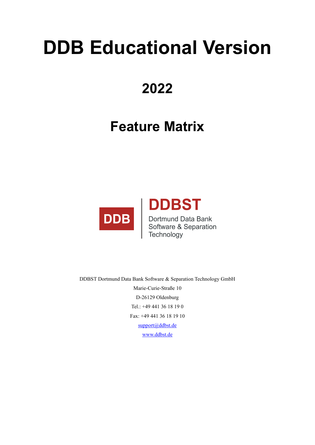## **DDB Educational Version**

## **2022**

## **Feature Matrix**



DDBST Dortmund Data Bank Software & Separation Technology GmbH Marie-Curie-Straße 10 D-26129 Oldenburg Tel.: +49 441 36 18 19 0 Fax: +49 441 36 18 19 10 [support@ddbst.de](mailto:support@ddbst.de) [www.ddbst.de](http://www.ddbst.de/)